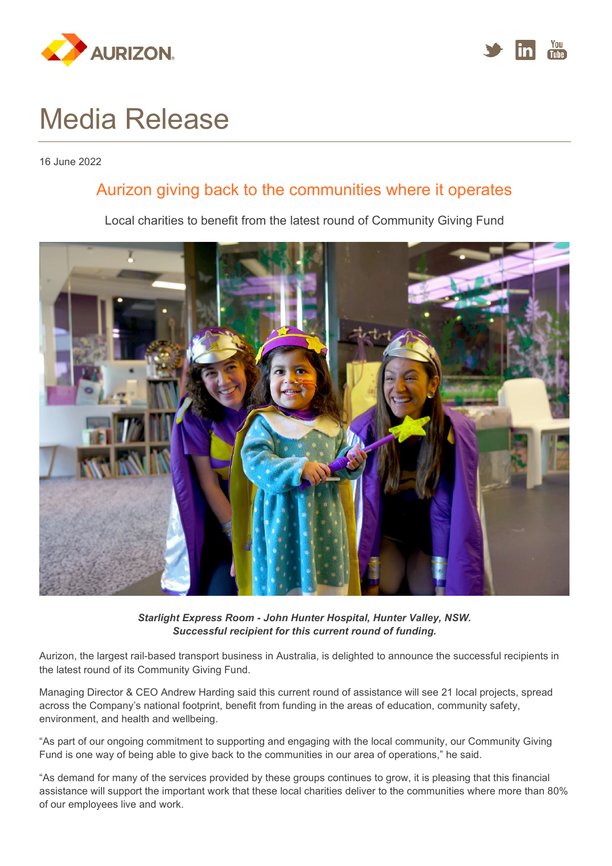



# Media Release

16 June 2022

### Aurizon giving back to the communities where it operates

Local charities to benefit from the latest round of Community Giving Fund



*Starlight Express Room - John Hunter Hospital, Hunter Valley, NSW. Successful recipient for this current round of funding.*

Aurizon, the largest rail-based transport business in Australia, is delighted to announce the successful recipients in the latest round of its Community Giving Fund.

Managing Director & CEO Andrew Harding said this current round of assistance will see 21 local projects, spread across the Company's national footprint, benefit from funding in the areas of education, community safety, environment, and health and wellbeing.

"As part of our ongoing commitment to supporting and engaging with the local community, our Community Giving Fund is one way of being able to give back to the communities in our area of operations," he said.

"As demand for many of the services provided by these groups continues to grow, it is pleasing that this financial assistance will support the important work that these local charities deliver to the communities where more than 80% of our employees live and work.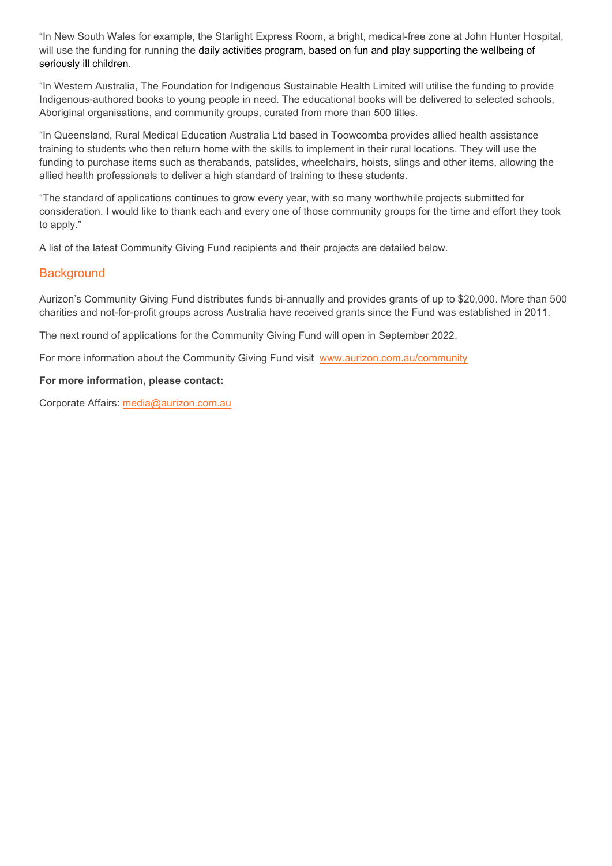"In New South Wales for example, the Starlight Express Room, a bright, medical-free zone at John Hunter Hospital, will use the funding for running the daily activities program, based on fun and play supporting the wellbeing of seriously ill children.

"In Western Australia, The Foundation for Indigenous Sustainable Health Limited will utilise the funding to provide Indigenous-authored books to young people in need. The educational books will be delivered to selected schools, Aboriginal organisations, and community groups, curated from more than 500 titles.

"In Queensland, Rural Medical Education Australia Ltd based in Toowoomba provides allied health assistance training to students who then return home with the skills to implement in their rural locations. They will use the funding to purchase items such as therabands, patslides, wheelchairs, hoists, slings and other items, allowing the allied health professionals to deliver a high standard of training to these students.

"The standard of applications continues to grow every year, with so many worthwhile projects submitted for consideration. I would like to thank each and every one of those community groups for the time and effort they took to apply."

A list of the latest Community Giving Fund recipients and their projects are detailed below.

#### **Background**

Aurizon's Community Giving Fund distributes funds bi-annually and provides grants of up to \$20,000. More than 500 charities and not-for-profit groups across Australia have received grants since the Fund was established in 2011.

The next round of applications for the Community Giving Fund will open in September 2022.

For more information about the Community Giving Fund visit [www.aurizon.com.au/community](http://www.aurizon.com.au/community)

#### **For more information, please contact:**

Corporate Affairs: [media@aurizon.com.au](mailto:media@aurizon.com.au)